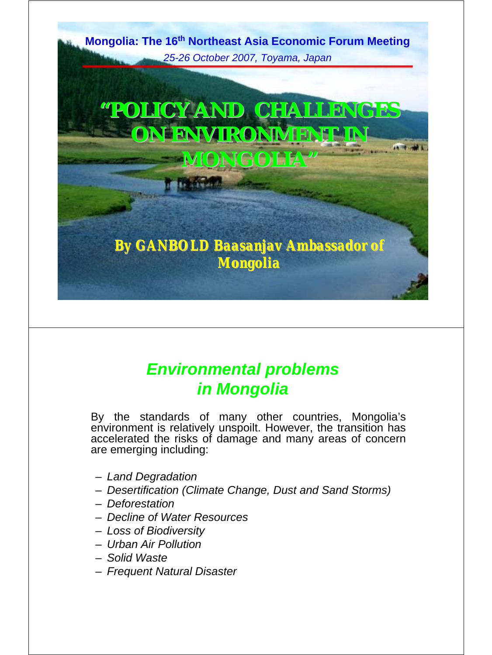**Mongolia: The 16th Northeast Asia Economic Forum Meeting** *25-26 October 2007, Toyama, Japan*

**"POLICY AND CHALLENGES POLICY AND CHALLENGES ON ENVIRONMENT IN MONGOLIA MONGOLIA"**

*By GANBOLD Baasanjav Ambassador of Mongolia Mongolia*

## *Environmental problems in Mongolia*

By the standards of many other countries, Mongolia's environment is relatively unspoilt. However, the transition has accelerated the risks of damage and many areas of concern are emerging including:

- *Land Degradation*
- *Desertification (Climate Change, Dust and Sand Storms)*
- *Deforestation*
- *Decline of Water Resources*
- *Loss of Biodiversity*
- *Urban Air Pollution*
- *Solid Waste*
- *Frequent Natural Disaster*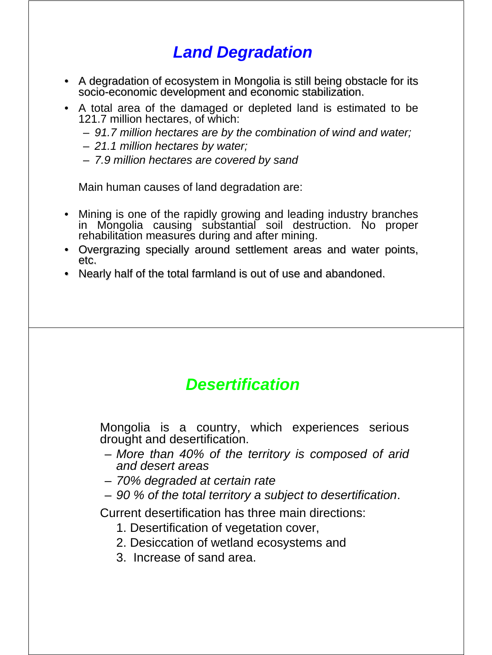## *Land Degradation*

- A degradation of ecosystem in Mongolia is still being obstacle for its socio-economic development and economic stabilization.
- A total area of the damaged or depleted land is estimated to be 121.7 million hectares, of which:
	- *91.7 million hectares are by the combination of wind and water;*
	- *21.1 million hectares by water;*
	- *7.9 million hectares are covered by sand*

Main human causes of land degradation are:

- Mining is one of the rapidly growing and leading industry branches in Mongolia causing substantial soil destruction. No proper rehabilitation measures during and after mining.
- Overgrazing specially around settlement areas and water points, etc.
- Nearly half of the total farmland is out of use and abandoned.

#### *Desertification*

Mongolia is a country, which experiences serious drought and desertification.

- *More than 40% of the territory is composed of arid and desert areas*
- *70% degraded at certain rate*
- *90 % of the total territory a subject to desertification*.

Current desertification has three main directions:

- 1. Desertification of vegetation cover,
- 2. Desiccation of wetland ecosystems and
- 3. Increase of sand area.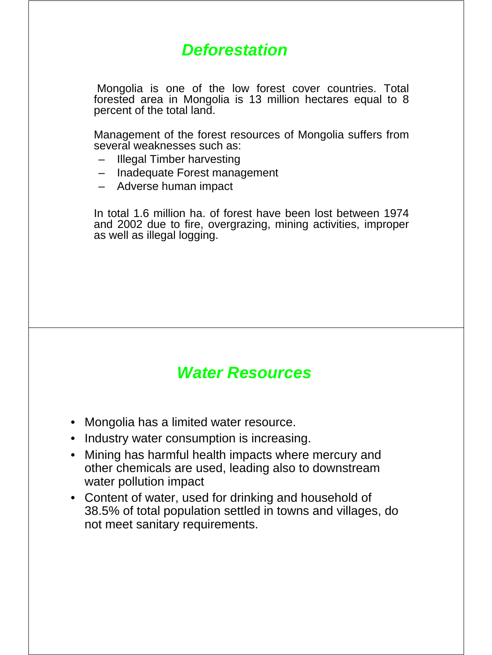### *Deforestation*

Mongolia is one of the low forest cover countries. Total forested area in Mongolia is 13 million hectares equal to 8 percent of the total land.

Management of the forest resources of Mongolia suffers from several weaknesses such as:

- Illegal Timber harvesting
- Inadequate Forest management
- Adverse human impact

In total 1.6 million ha. of forest have been lost between 1974 and 2002 due to fire, overgrazing, mining activities, improper as well as illegal logging.

#### *Water Resources*

- Mongolia has a limited water resource.
- Industry water consumption is increasing.
- Mining has harmful health impacts where mercury and other chemicals are used, leading also to downstream water pollution impact
- Content of water, used for drinking and household of 38.5% of total population settled in towns and villages, do not meet sanitary requirements.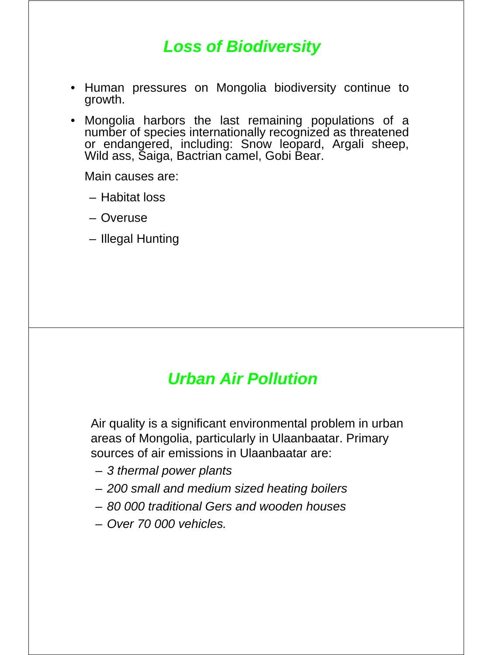## *Loss of Biodiversity*

- Human pressures on Mongolia biodiversity continue to growth.
- Mongolia harbors the last remaining populations of a number of species internationally recognized as threatened or endangered, including: Snow leopard, Argali sheep, Wild ass, Saiga, Bactrian camel, Gobi Bear.

Main causes are:

- Habitat loss
- Overuse
- Illegal Hunting

#### *Urban Air Pollution*

Air quality is a significant environmental problem in urban areas of Mongolia, particularly in Ulaanbaatar. Primary sources of air emissions in Ulaanbaatar are:

- *3 thermal power plants*
- *200 small and medium sized heating boilers*
- *80 000 traditional Gers and wooden houses*
- *Over 70 000 vehicles.*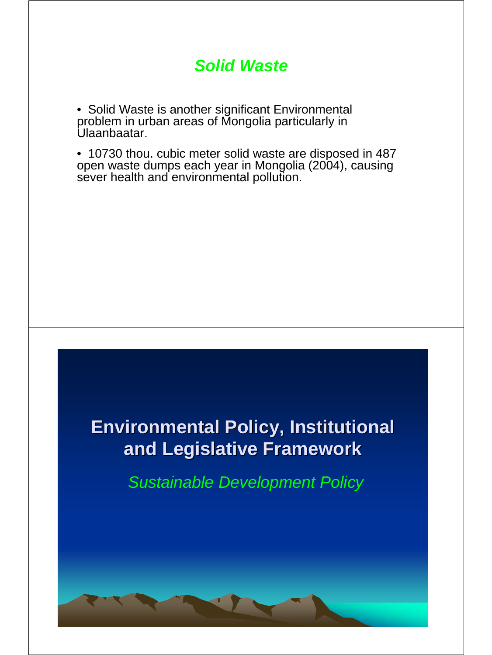#### *Solid Waste*

• Solid Waste is another significant Environmental problem in urban areas of Mongolia particularly in Ulaanbaatar.

• 10730 thou. cubic meter solid waste are disposed in 487 open waste dumps each year in Mongolia (2004), causing sever health and environmental pollution.

# **Environmental Policy, Institutional and Legislative Framework and Legislative Framework**

*Sustainable Development Policy*

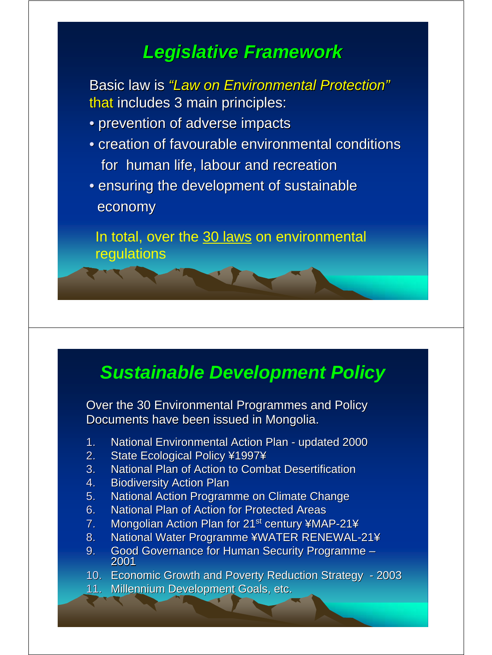# *Legislative Framework Legislative Framework*

Basic law is *"Law on Environmental Protection"* that includes 3 main principles:

- prevention of adverse impacts
- creation of favourable environmental conditions for human life, labour and recreation
- ensuring the development of sustainable economy

In total, over the 30 laws on environmental regulations

# *Sustainable Development Policy*

Over the 30 Environmental Programmes and Policy Documents have been issued in Mongolia.

- 1. National Environmental Action Plan updated 2000
- 2. State Ecological Policy ¥1997¥
- 3. National Plan of Action to Combat Desertification
- 4. Biodiversity Action Plan
- 5. National Action Programme on Climate Change
- 6. National Plan of Action for Protected Areas
- 7. Mongolian Action Plan for  $21^{st}$  century ¥MAP-21¥
- 8. National Water Programme ¥WATER RENEWAL-21¥
- 9. Good Governance for Human Security Programme –<br>2001
- 10. Economic Growth and Poverty Reduction Strategy 2003
- 11. Millennium Development Goals, etc.